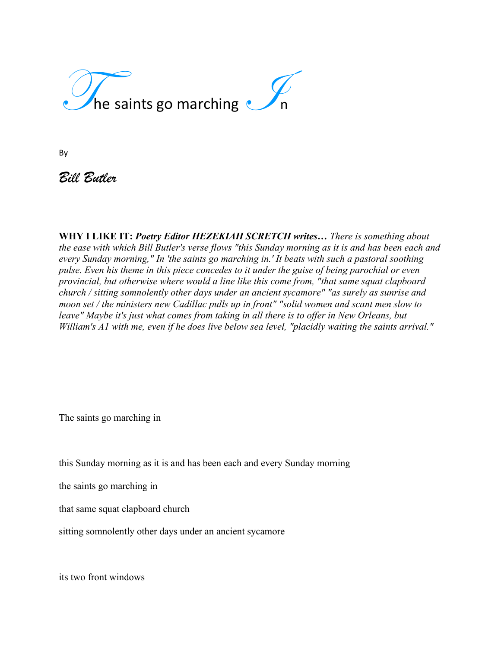

By

*Bill Butler*

**WHY I LIKE IT:** *Poetry Editor HEZEKIAH SCRETCH writes… There is something about the ease with which Bill Butler's verse flows "this Sunday morning as it is and has been each and every Sunday morning," In 'the saints go marching in.' It beats with such a pastoral soothing pulse. Even his theme in this piece concedes to it under the guise of being parochial or even provincial, but otherwise where would a line like this come from, "that same squat clapboard church / sitting somnolently other days under an ancient sycamore" "as surely as sunrise and moon set / the ministers new Cadillac pulls up in front" "solid women and scant men slow to leave" Maybe it's just what comes from taking in all there is to offer in New Orleans, but William's A1 with me, even if he does live below sea level, "placidly waiting the saints arrival."*

The saints go marching in

this Sunday morning as it is and has been each and every Sunday morning

the saints go marching in

that same squat clapboard church

sitting somnolently other days under an ancient sycamore

its two front windows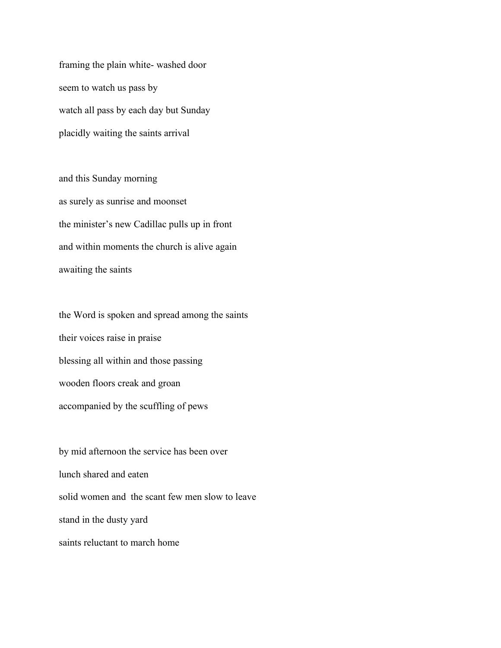framing the plain white- washed door seem to watch us pass by watch all pass by each day but Sunday placidly waiting the saints arrival

and this Sunday morning as surely as sunrise and moonset the minister's new Cadillac pulls up in front and within moments the church is alive again awaiting the saints

the Word is spoken and spread among the saints their voices raise in praise blessing all within and those passing wooden floors creak and groan accompanied by the scuffling of pews

by mid afternoon the service has been over lunch shared and eaten solid women and the scant few men slow to leave stand in the dusty yard saints reluctant to march home